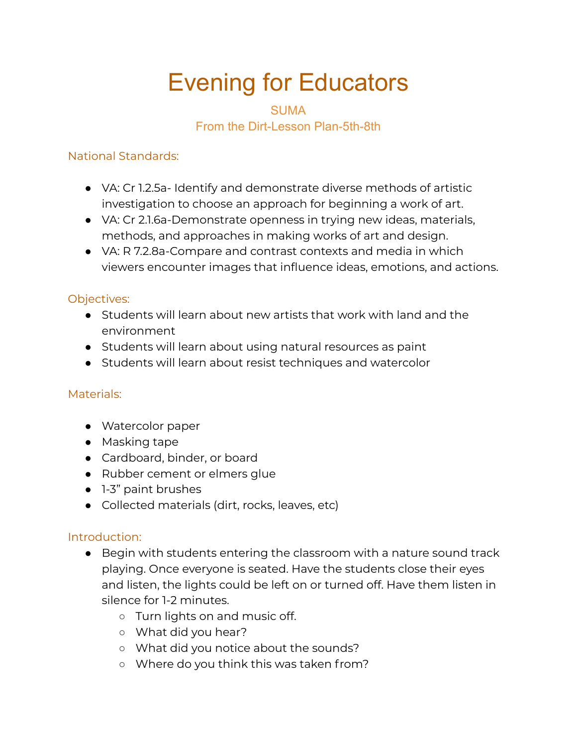# Evening for Educators

## **SUMA** From the Dirt-Lesson Plan-5th-8th

#### National Standards:

- VA: Cr 1.2.5a- Identify and demonstrate diverse methods of artistic investigation to choose an approach for beginning a work of art.
- VA: Cr 2.1.6a-Demonstrate openness in trying new ideas, materials, methods, and approaches in making works of art and design.
- VA: R 7.2.8a-Compare and contrast contexts and media in which viewers encounter images that influence ideas, emotions, and actions.

### Objectives:

- Students will learn about new artists that work with land and the environment
- Students will learn about using natural resources as paint
- Students will learn about resist techniques and watercolor

#### Materials:

- Watercolor paper
- Masking tape
- Cardboard, binder, or board
- Rubber cement or elmers glue
- 1-3" paint brushes
- Collected materials (dirt, rocks, leaves, etc)

#### Introduction:

- Begin with students entering the classroom with a nature sound track playing. Once everyone is seated. Have the students close their eyes and listen, the lights could be left on or turned off. Have them listen in silence for 1-2 minutes.
	- Turn lights on and music off.
	- What did you hear?
	- What did you notice about the sounds?
	- Where do you think this was taken from?